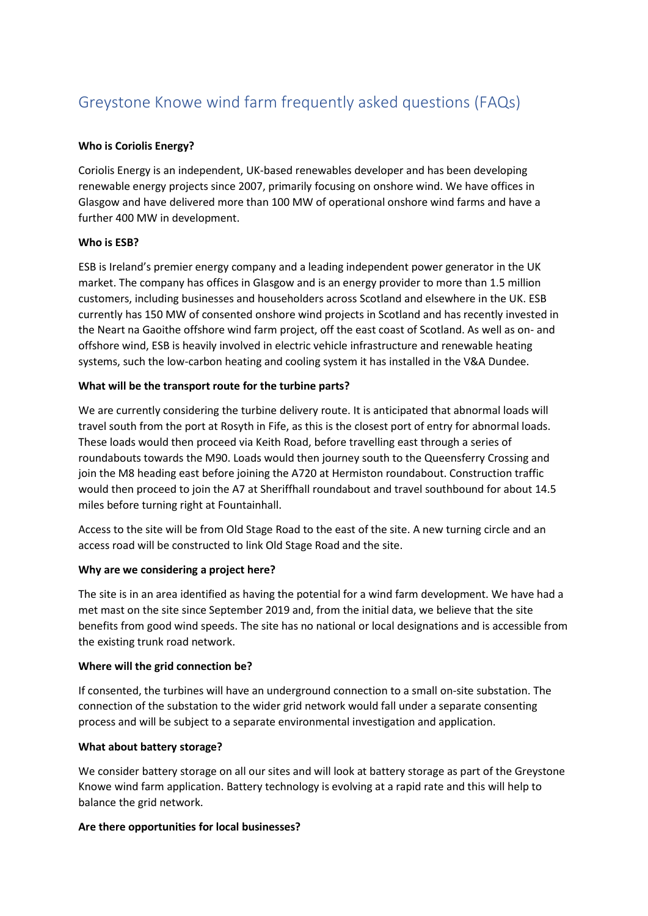# Greystone Knowe wind farm frequently asked questions (FAQs)

## **Who is Coriolis Energy?**

Coriolis Energy is an independent, UK-based renewables developer and has been developing renewable energy projects since 2007, primarily focusing on onshore wind. We have offices in Glasgow and have delivered more than 100 MW of operational onshore wind farms and have a further 400 MW in development.

#### **Who is ESB?**

ESB is Ireland's premier energy company and a leading independent power generator in the UK market. The company has offices in Glasgow and is an energy provider to more than 1.5 million customers, including businesses and householders across Scotland and elsewhere in the UK. ESB currently has 150 MW of consented onshore wind projects in Scotland and has recently invested in the Neart na Gaoithe offshore wind farm project, off the east coast of Scotland. As well as on- and offshore wind, ESB is heavily involved in electric vehicle infrastructure and renewable heating systems, such the low-carbon heating and cooling system it has installed in the V&A Dundee.

#### **What will be the transport route for the turbine parts?**

We are currently considering the turbine delivery route. It is anticipated that abnormal loads will travel south from the port at Rosyth in Fife, as this is the closest port of entry for abnormal loads. These loads would then proceed via Keith Road, before travelling east through a series of roundabouts towards the M90. Loads would then journey south to the Queensferry Crossing and join the M8 heading east before joining the A720 at Hermiston roundabout. Construction traffic would then proceed to join the A7 at Sheriffhall roundabout and travel southbound for about 14.5 miles before turning right at Fountainhall.

Access to the site will be from Old Stage Road to the east of the site. A new turning circle and an access road will be constructed to link Old Stage Road and the site.

#### **Why are we considering a project here?**

The site is in an area identified as having the potential for a wind farm development. We have had a met mast on the site since September 2019 and, from the initial data, we believe that the site benefits from good wind speeds. The site has no national or local designations and is accessible from the existing trunk road network.

#### **Where will the grid connection be?**

If consented, the turbines will have an underground connection to a small on-site substation. The connection of the substation to the wider grid network would fall under a separate consenting process and will be subject to a separate environmental investigation and application.

#### **What about battery storage?**

We consider battery storage on all our sites and will look at battery storage as part of the Greystone Knowe wind farm application. Battery technology is evolving at a rapid rate and this will help to balance the grid network.

#### **Are there opportunities for local businesses?**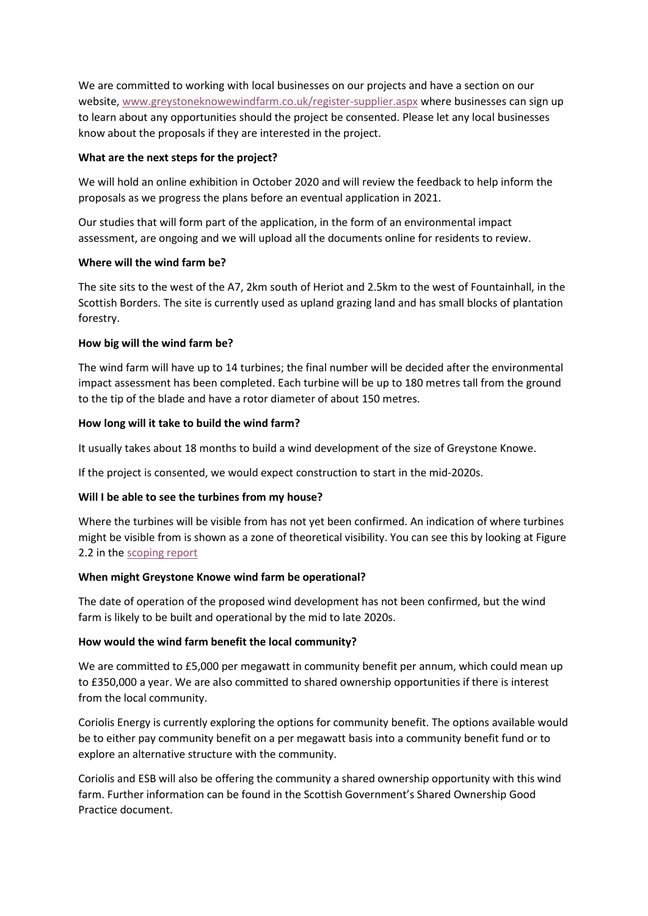We are committed to working with local businesses on our projects and have a section on our website, [www.greystoneknowewindfarm.co.uk/register-supplier.aspx](http://www.greystoneknowewindfarm.co.uk/register-supplier.aspx) where businesses can sign up to learn about any opportunities should the project be consented. Please let any local businesses know about the proposals if they are interested in the project.

## **What are the next steps for the project?**

We will hold an online exhibition in October 2020 and will review the feedback to help inform the proposals as we progress the plans before an eventual application in 2021.

Our studies that will form part of the application, in the form of an environmental impact assessment, are ongoing and we will upload all the documents online for residents to review.

#### **Where will the wind farm be?**

The site sits to the west of the A7, 2km south of Heriot and 2.5km to the west of Fountainhall, in the Scottish Borders. The site is currently used as upland grazing land and has small blocks of plantation forestry.

#### **How big will the wind farm be?**

The wind farm will have up to 14 turbines; the final number will be decided after the environmental impact assessment has been completed. Each turbine will be up to 180 metres tall from the ground to the tip of the blade and have a rotor diameter of about 150 metres.

#### **How long will it take to build the wind farm?**

It usually takes about 18 months to build a wind development of the size of Greystone Knowe.

If the project is consented, we would expect construction to start in the mid-2020s.

# **Will I be able to see the turbines from my house?**

Where the turbines will be visible from has not yet been confirmed. An indication of where turbines might be visible from is shown as a zone of theoretical visibility. You can see this by looking at Figure 2.2 in th[e scoping report](https://coriolisv3.opendebate.co.uk/files/greystoneknowe/200521_Greystone_Knowe_Scoping_Report_Final_Rev01_reduced_compressed_1.pdf)

#### **When might Greystone Knowe wind farm be operational?**

The date of operation of the proposed wind development has not been confirmed, but the wind farm is likely to be built and operational by the mid to late 2020s.

# **How would the wind farm benefit the local community?**

We are committed to £5,000 per megawatt in community benefit per annum, which could mean up to £350,000 a year. We are also committed to shared ownership opportunities if there is interest from the local community.

Coriolis Energy is currently exploring the options for community benefit. The options available would be to either pay community benefit on a per megawatt basis into a community benefit fund or to explore an alternative structure with the community.

Coriolis and ESB will also be offering the community a shared ownership opportunity with this wind farm. Further information can be found in the Scottish Government's Shared Ownership Good Practice document.